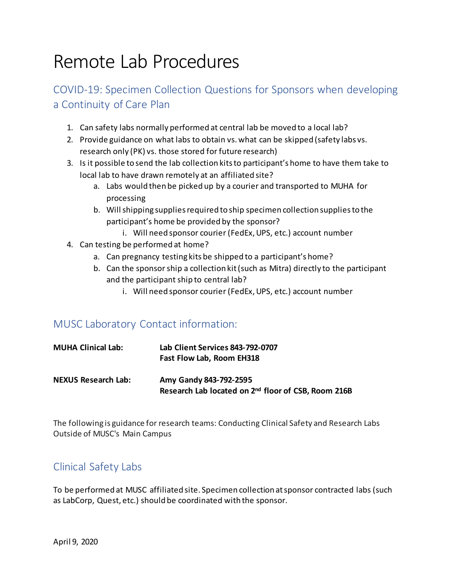# Remote Lab Procedures

### COVID-19: Specimen Collection Questions for Sponsors when developing a Continuity of Care Plan

- 1. Can safety labs normally performed at central lab be moved to a local lab?
- 2. Provide guidance on what labs to obtain vs. what can be skipped (safety labs vs. research only (PK) vs. those stored for future research)
- 3. Is it possible to send the lab collection kits to participant's home to have them take to local lab to have drawn remotely at an affiliated site?
	- a. Labs would then be picked up by a courier and transported to MUHA for processing
	- b. Will shipping supplies required to ship specimen collection supplies to the participant's home be provided by the sponsor?
		- i. Will need sponsor courier (FedEx, UPS, etc.) account number
- 4. Can testing be performed at home?
	- a. Can pregnancy testing kits be shipped to a participant's home?
	- b. Can the sponsor ship a collection kit (such as Mitra) directly to the participant and the participant ship to central lab?
		- i. Will need sponsor courier (FedEx, UPS, etc.) account number

#### MUSC Laboratory Contact information:

| <b>MUHA Clinical Lab:</b>  | Lab Client Services 843-792-0707<br>Fast Flow Lab, Room EH318                             |
|----------------------------|-------------------------------------------------------------------------------------------|
| <b>NEXUS Research Lab:</b> | Amy Gandy 843-792-2595<br>Research Lab located on 2 <sup>nd</sup> floor of CSB, Room 216B |

The following is guidance for research teams: Conducting Clinical Safety and Research Labs Outside of MUSC's Main Campus

#### Clinical Safety Labs

To be performed at MUSC affiliated site. Specimen collection at sponsor contracted labs (such as LabCorp, Quest, etc.) should be coordinated with the sponsor.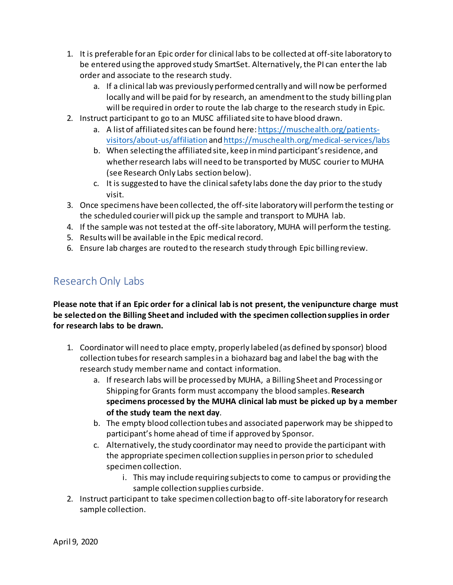- 1. It is preferable for an Epic order for clinical labs to be collected at off-site laboratory to be entered using the approved study SmartSet. Alternatively, the PI can enter the lab order and associate to the research study.
	- a. If a clinical lab was previously performed centrally and will now be performed locally and will be paid for by research, an amendment to the study billing plan will be required in order to route the lab charge to the research study in Epic.
- 2. Instruct participant to go to an MUSC affiliated site to have blood drawn.
	- a. A list of affiliated sites can be found here[: https://muschealth.org/patients](https://muschealth.org/patients-visitors/about-us/affiliation)[visitors/about-us/affiliation](https://muschealth.org/patients-visitors/about-us/affiliation) an[d https://muschealth.org/medical-services/labs](https://muschealth.org/medical-services/labs)
	- b. When selecting the affiliated site, keep in mind participant's residence, and whether research labs will need to be transported by MUSC courier to MUHA (see Research Only Labs section below).
	- c. It is suggested to have the clinical safety labs done the day prior to the study visit.
- 3. Once specimens have been collected, the off-site laboratory will perform the testing or the scheduled courier will pick up the sample and transport to MUHA lab.
- 4. If the sample was not tested at the off-site laboratory, MUHA will perform the testing.
- 5. Results will be available in the Epic medical record.
- 6. Ensure lab charges are routed to the research study through Epic billing review.

#### Research Only Labs

**Please note that if an Epic order for a clinical lab is not present, the venipuncture charge must be selected on the Billing Sheet and included with the specimen collection supplies in order for research labs to be drawn.**

- 1. Coordinator will need to place empty, properly labeled (as defined by sponsor) blood collection tubes for research samples in a biohazard bag and label the bag with the research study member name and contact information.
	- a. If research labs will be processed by MUHA, a Billing Sheet and Processing or Shipping for Grants form must accompany the blood samples. **Research specimens processed by the MUHA clinical lab must be picked up by a member of the study team the next day**.
	- b. The empty blood collection tubes and associated paperwork may be shipped to participant's home ahead of time if approved by Sponsor.
	- c. Alternatively, the study coordinator may need to provide the participant with the appropriate specimen collection supplies in person prior to scheduled specimen collection.
		- i. This may include requiring subjects to come to campus or providing the sample collection supplies curbside.
- 2. Instruct participant to take specimen collection bag to off-site laboratory for research sample collection.